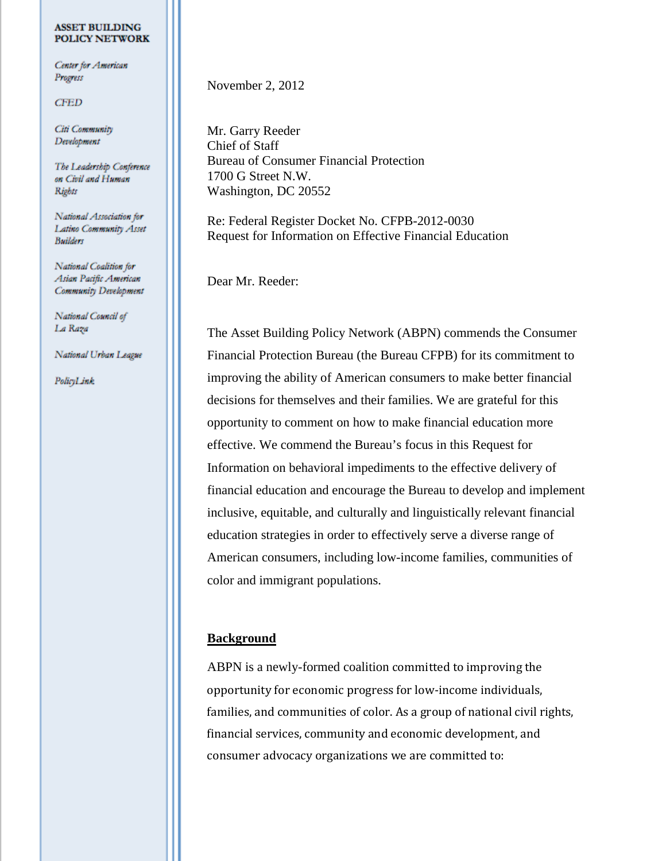#### **ASSET BUILDING POLICY NETWORK**

Center for American Progress

**CFED** 

Citi Community Development

The Leadership Conference on Civil and Human Rights

National Association for Latino Community Asset **Builders** 

National Coalition for Asian Pacific American Community Development

National Council of La Raza

National Urban League

PolicyLink

November 2, 2012

Mr. Garry Reeder Chief of Staff Bureau of Consumer Financial Protection 1700 G Street N.W. Washington, DC 20552

Re: Federal Register Docket No. CFPB-2012-0030 Request for Information on Effective Financial Education

Dear Mr. Reeder:

The Asset Building Policy Network (ABPN) commends the Consumer Financial Protection Bureau (the Bureau CFPB) for its commitment to improving the ability of American consumers to make better financial decisions for themselves and their families. We are grateful for this opportunity to comment on how to make financial education more effective. We commend the Bureau's focus in this Request for Information on behavioral impediments to the effective delivery of financial education and encourage the Bureau to develop and implement inclusive, equitable, and culturally and linguistically relevant financial education strategies in order to effectively serve a diverse range of American consumers, including low-income families, communities of color and immigrant populations.

# <span id="page-0-0"></span>**Background**

ABPN is a newly-formed coalition committed to improving the opportunity for economic progress for low-income individuals, families, and communities of color. As a group of national civil rights, financial services, community and economic development, and consumer advocacy organizations we are committed to: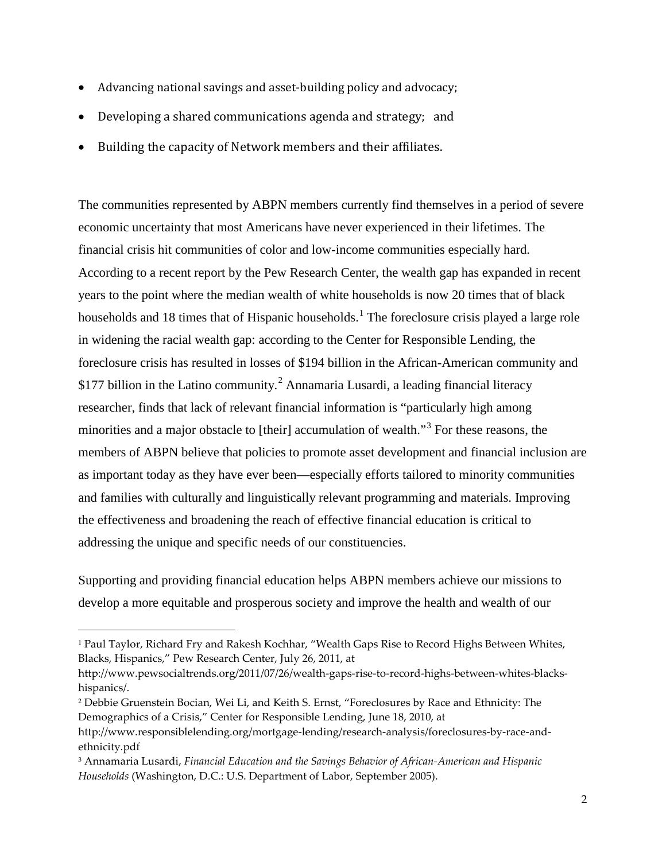- Advancing national savings and asset-building policy and advocacy;
- Developing a shared communications agenda and strategy; and
- Building the capacity of Network members and their affiliates.

The communities represented by ABPN members currently find themselves in a period of severe economic uncertainty that most Americans have never experienced in their lifetimes. The financial crisis hit communities of color and low-income communities especially hard. According to a recent report by the Pew Research Center, the wealth gap has expanded in recent years to the point where the median wealth of white households is now 20 times that of black households and [1](#page-0-0)8 times that of Hispanic households.<sup>1</sup> The foreclosure crisis played a large role in widening the racial wealth gap: according to the Center for Responsible Lending, the foreclosure crisis has resulted in losses of \$194 billion in the African-American community and \$177 billion in the Latino community.<sup>[2](#page-1-0)</sup> Annamaria Lusardi, a leading financial literacy researcher, finds that lack of relevant financial information is "particularly high among minorities and a major obstacle to [their] accumulation of wealth."[3](#page-1-1) For these reasons, the members of ABPN believe that policies to promote asset development and financial inclusion are as important today as they have ever been—especially efforts tailored to minority communities and families with culturally and linguistically relevant programming and materials. Improving the effectiveness and broadening the reach of effective financial education is critical to addressing the unique and specific needs of our constituencies.

Supporting and providing financial education helps ABPN members achieve our missions to develop a more equitable and prosperous society and improve the health and wealth of our

<sup>1</sup> Paul Taylor, Richard Fry and Rakesh Kochhar, "Wealth Gaps Rise to Record Highs Between Whites, Blacks, Hispanics," Pew Research Center, July 26, 2011, at

http://www.pewsocialtrends.org/2011/07/26/wealth-gaps-rise-to-record-highs-between-whites-blackshispanics/.

<span id="page-1-2"></span><span id="page-1-0"></span><sup>2</sup> Debbie Gruenstein Bocian, Wei Li, and Keith S. Ernst, "Foreclosures by Race and Ethnicity: The Demographics of a Crisis," Center for Responsible Lending, June 18, 2010, at

http://www.responsiblelending.org/mortgage-lending/research-analysis/foreclosures-by-race-andethnicity.pdf

<span id="page-1-1"></span><sup>3</sup> Annamaria Lusardi, *Financial Education and the Savings Behavior of African-American and Hispanic Households* (Washington, D.C.: U.S. Department of Labor, September 2005).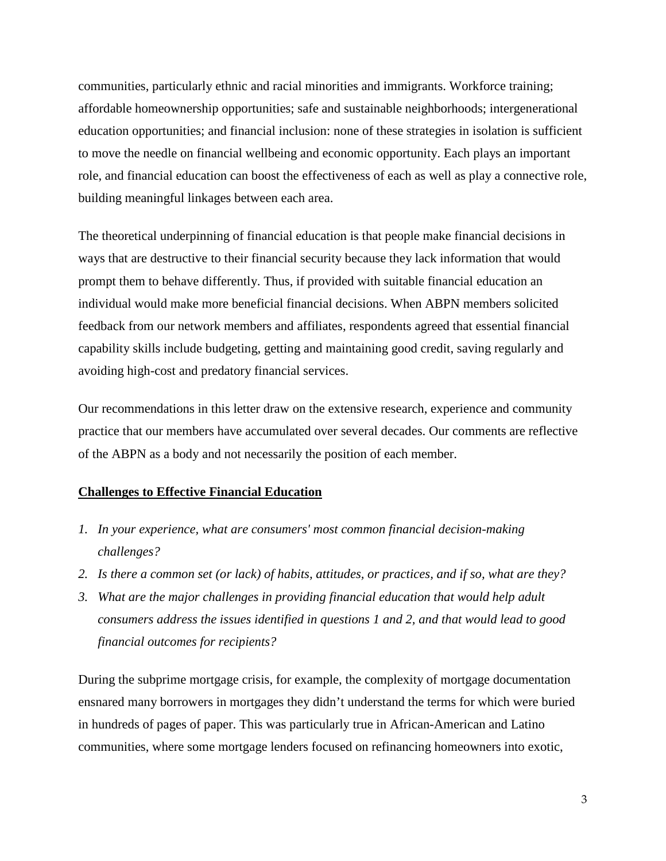communities, particularly ethnic and racial minorities and immigrants. Workforce training; affordable homeownership opportunities; safe and sustainable neighborhoods; intergenerational education opportunities; and financial inclusion: none of these strategies in isolation is sufficient to move the needle on financial wellbeing and economic opportunity. Each plays an important role, and financial education can boost the effectiveness of each as well as play a connective role, building meaningful linkages between each area.

The theoretical underpinning of financial education is that people make financial decisions in ways that are destructive to their financial security because they lack information that would prompt them to behave differently. Thus, if provided with suitable financial education an individual would make more beneficial financial decisions. When ABPN members solicited feedback from our network members and affiliates, respondents agreed that essential financial capability skills include budgeting, getting and maintaining good credit, saving regularly and avoiding high-cost and predatory financial services.

Our recommendations in this letter draw on the extensive research, experience and community practice that our members have accumulated over several decades. Our comments are reflective of the ABPN as a body and not necessarily the position of each member.

## **Challenges to Effective Financial Education**

- *1. In your experience, what are consumers' most common financial decision-making challenges?*
- *2. Is there a common set (or lack) of habits, attitudes, or practices, and if so, what are they?*
- *3. What are the major challenges in providing financial education that would help adult consumers address the issues identified in questions 1 and 2, and that would lead to good financial outcomes for recipients?*

During the subprime mortgage crisis, for example, the complexity of mortgage documentation ensnared many borrowers in mortgages they didn't understand the terms for which were buried in hundreds of pages of paper. This was particularly true in African-American and Latino communities, where some mortgage lenders focused on refinancing homeowners into exotic,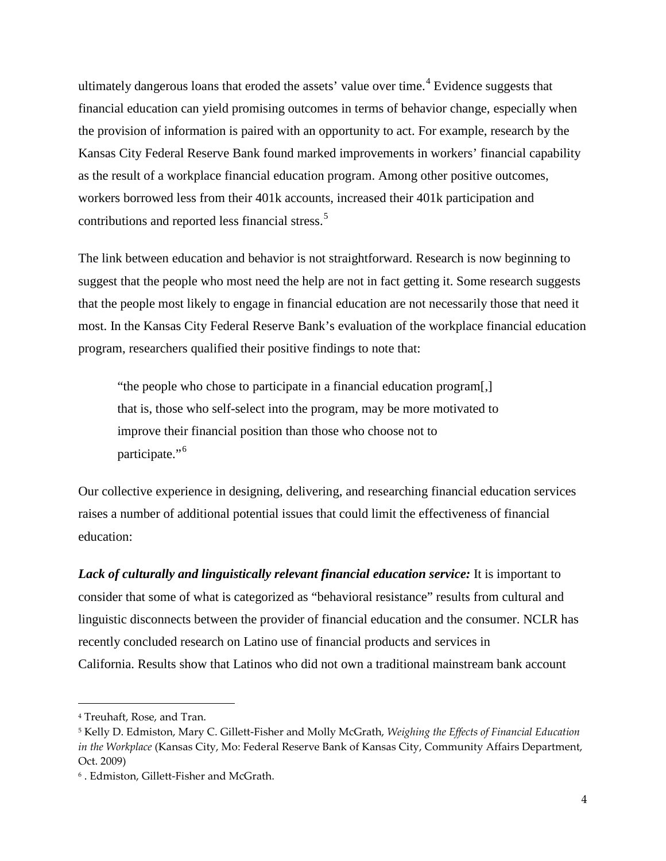ultimately dangerous loans that eroded the assets' value over time. [4](#page-1-2) Evidence suggests that financial education can yield promising outcomes in terms of behavior change, especially when the provision of information is paired with an opportunity to act. For example, research by the Kansas City Federal Reserve Bank found marked improvements in workers' financial capability as the result of a workplace financial education program. Among other positive outcomes, workers borrowed less from their 401k accounts, increased their 401k participation and contributions and reported less financial stress.<sup>[5](#page-3-0)</sup>

The link between education and behavior is not straightforward. Research is now beginning to suggest that the people who most need the help are not in fact getting it. Some research suggests that the people most likely to engage in financial education are not necessarily those that need it most. In the Kansas City Federal Reserve Bank's evaluation of the workplace financial education program, researchers qualified their positive findings to note that:

"the people who chose to participate in a financial education program[,] that is, those who self-select into the program, may be more motivated to improve their financial position than those who choose not to participate."<sup>[6](#page-3-1)</sup>

Our collective experience in designing, delivering, and researching financial education services raises a number of additional potential issues that could limit the effectiveness of financial education:

*Lack of culturally and linguistically relevant financial education service:* It is important to consider that some of what is categorized as "behavioral resistance" results from cultural and linguistic disconnects between the provider of financial education and the consumer. NCLR has recently concluded research on Latino use of financial products and services in California. Results show that Latinos who did not own a traditional mainstream bank account

<sup>4</sup> Treuhaft, Rose, and Tran.

<span id="page-3-0"></span><sup>5</sup> Kelly D. Edmiston, Mary C. Gillett-Fisher and Molly McGrath, *Weighing the Effects of Financial Education in the Workplace* (Kansas City, Mo: Federal Reserve Bank of Kansas City, Community Affairs Department, Oct. 2009)

<span id="page-3-1"></span><sup>6</sup> . Edmiston, Gillett-Fisher and McGrath.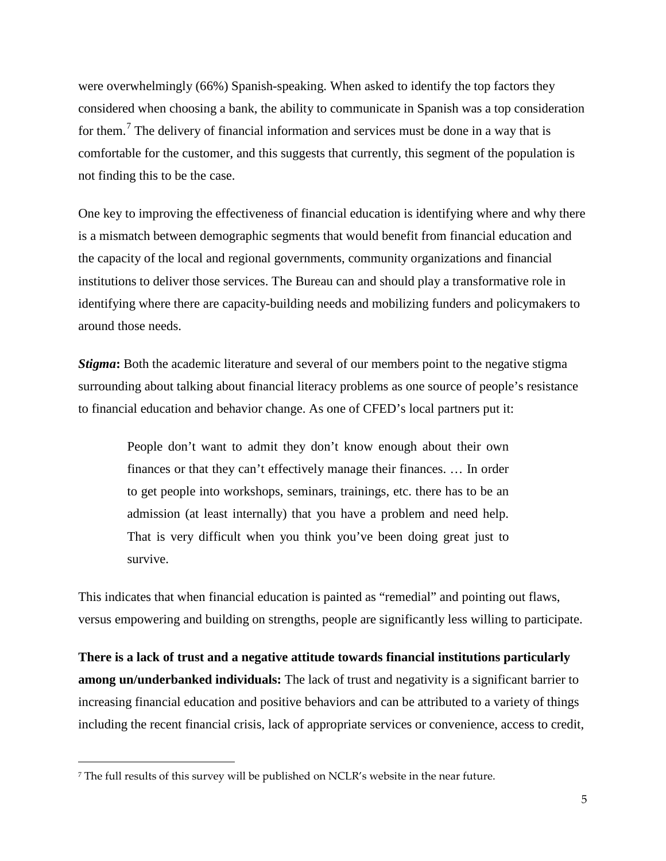were overwhelmingly (66%) Spanish-speaking. When asked to identify the top factors they considered when choosing a bank, the ability to communicate in Spanish was a top consideration for them.[7](#page-3-1) The delivery of financial information and services must be done in a way that is comfortable for the customer, and this suggests that currently, this segment of the population is not finding this to be the case.

One key to improving the effectiveness of financial education is identifying where and why there is a mismatch between demographic segments that would benefit from financial education and the capacity of the local and regional governments, community organizations and financial institutions to deliver those services. The Bureau can and should play a transformative role in identifying where there are capacity-building needs and mobilizing funders and policymakers to around those needs.

*Stigma*: Both the academic literature and several of our members point to the negative stigma surrounding about talking about financial literacy problems as one source of people's resistance to financial education and behavior change. As one of CFED's local partners put it:

People don't want to admit they don't know enough about their own finances or that they can't effectively manage their finances. … In order to get people into workshops, seminars, trainings, etc. there has to be an admission (at least internally) that you have a problem and need help. That is very difficult when you think you've been doing great just to survive.

This indicates that when financial education is painted as "remedial" and pointing out flaws, versus empowering and building on strengths, people are significantly less willing to participate.

**There is a lack of trust and a negative attitude towards financial institutions particularly among un/underbanked individuals:** The lack of trust and negativity is a significant barrier to increasing financial education and positive behaviors and can be attributed to a variety of things including the recent financial crisis, lack of appropriate services or convenience, access to credit,

<span id="page-4-0"></span><sup>7</sup> The full results of this survey will be published on NCLR's website in the near future.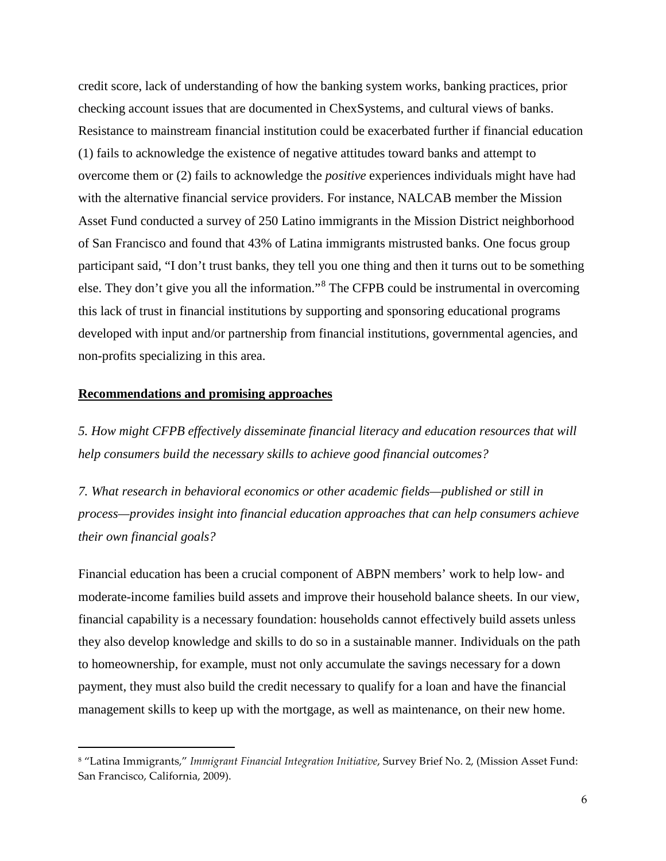credit score, lack of understanding of how the banking system works, banking practices, prior checking account issues that are documented in ChexSystems, and cultural views of banks. Resistance to mainstream financial institution could be exacerbated further if financial education (1) fails to acknowledge the existence of negative attitudes toward banks and attempt to overcome them or (2) fails to acknowledge the *positive* experiences individuals might have had with the alternative financial service providers. For instance, NALCAB member the Mission Asset Fund conducted a survey of 250 Latino immigrants in the Mission District neighborhood of San Francisco and found that 43% of Latina immigrants mistrusted banks. One focus group participant said, "I don't trust banks, they tell you one thing and then it turns out to be something else. They don't give you all the information."[8](#page-4-0) The CFPB could be instrumental in overcoming this lack of trust in financial institutions by supporting and sponsoring educational programs developed with input and/or partnership from financial institutions, governmental agencies, and non-profits specializing in this area.

### **Recommendations and promising approaches**

<span id="page-5-0"></span> $\overline{a}$ 

*5. How might CFPB effectively disseminate financial literacy and education resources that will help consumers build the necessary skills to achieve good financial outcomes?*

*7. What research in behavioral economics or other academic fields—published or still in process—provides insight into financial education approaches that can help consumers achieve their own financial goals?*

Financial education has been a crucial component of ABPN members' work to help low- and moderate-income families build assets and improve their household balance sheets. In our view, financial capability is a necessary foundation: households cannot effectively build assets unless they also develop knowledge and skills to do so in a sustainable manner. Individuals on the path to homeownership, for example, must not only accumulate the savings necessary for a down payment, they must also build the credit necessary to qualify for a loan and have the financial management skills to keep up with the mortgage, as well as maintenance, on their new home.

<sup>8</sup> "Latina Immigrants," *Immigrant Financial Integration Initiative*, Survey Brief No. 2, (Mission Asset Fund: San Francisco, California, 2009).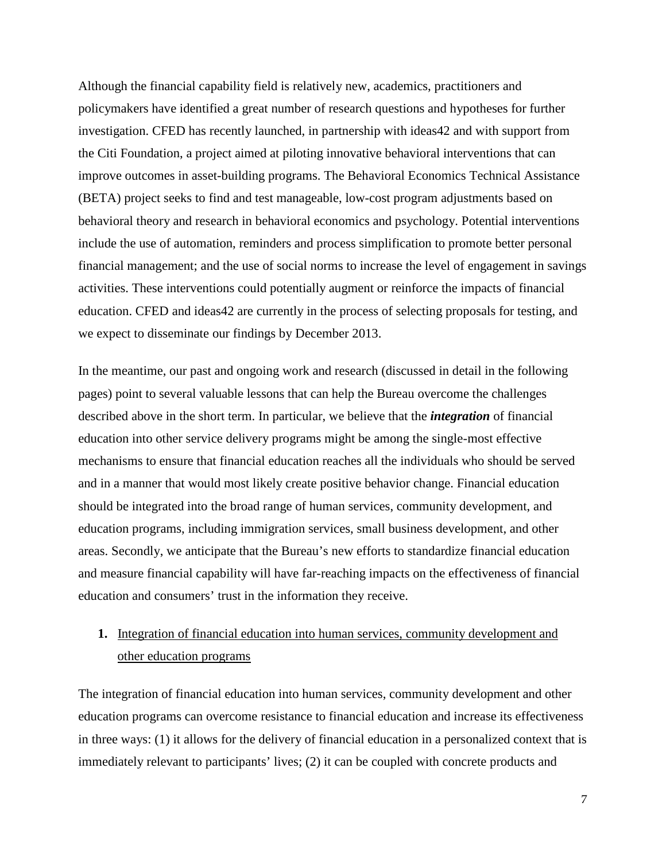Although the financial capability field is relatively new, academics, practitioners and policymakers have identified a great number of research questions and hypotheses for further investigation. CFED has recently launched, in partnership with ideas42 and with support from the Citi Foundation, a project aimed at piloting innovative behavioral interventions that can improve outcomes in asset-building programs. The Behavioral Economics Technical Assistance (BETA) project seeks to find and test manageable, low-cost program adjustments based on behavioral theory and research in behavioral economics and psychology. Potential interventions include the use of automation, reminders and process simplification to promote better personal financial management; and the use of social norms to increase the level of engagement in savings activities. These interventions could potentially augment or reinforce the impacts of financial education. CFED and ideas42 are currently in the process of selecting proposals for testing, and we expect to disseminate our findings by December 2013.

In the meantime, our past and ongoing work and research (discussed in detail in the following pages) point to several valuable lessons that can help the Bureau overcome the challenges described above in the short term. In particular, we believe that the *integration* of financial education into other service delivery programs might be among the single-most effective mechanisms to ensure that financial education reaches all the individuals who should be served and in a manner that would most likely create positive behavior change. Financial education should be integrated into the broad range of human services, community development, and education programs, including immigration services, small business development, and other areas. Secondly, we anticipate that the Bureau's new efforts to standardize financial education and measure financial capability will have far-reaching impacts on the effectiveness of financial education and consumers' trust in the information they receive.

# **1.** Integration of financial education into human services, community development and other education programs

The integration of financial education into human services, community development and other education programs can overcome resistance to financial education and increase its effectiveness in three ways: (1) it allows for the delivery of financial education in a personalized context that is immediately relevant to participants' lives; (2) it can be coupled with concrete products and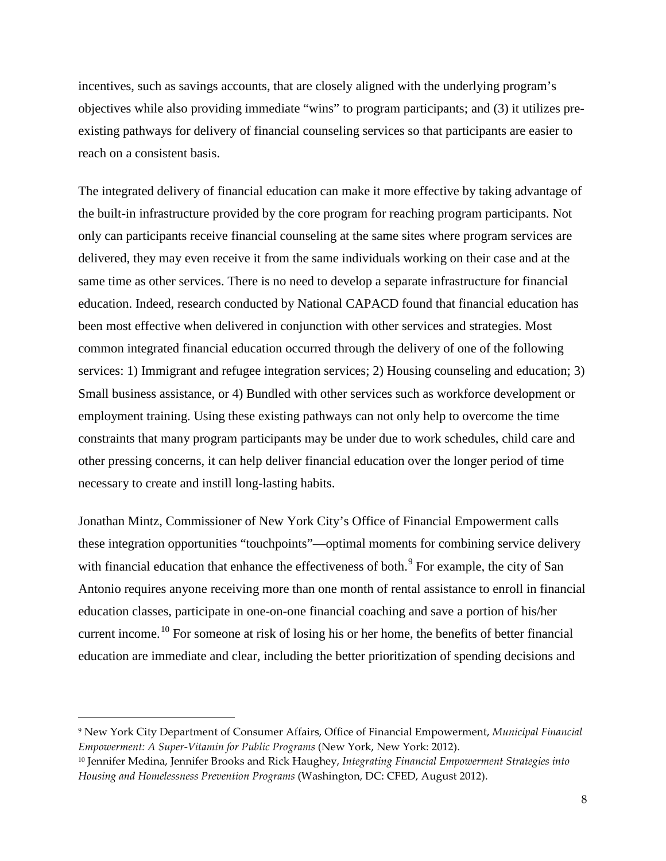incentives, such as savings accounts, that are closely aligned with the underlying program's objectives while also providing immediate "wins" to program participants; and (3) it utilizes preexisting pathways for delivery of financial counseling services so that participants are easier to reach on a consistent basis.

The integrated delivery of financial education can make it more effective by taking advantage of the built-in infrastructure provided by the core program for reaching program participants. Not only can participants receive financial counseling at the same sites where program services are delivered, they may even receive it from the same individuals working on their case and at the same time as other services. There is no need to develop a separate infrastructure for financial education. Indeed, research conducted by National CAPACD found that financial education has been most effective when delivered in conjunction with other services and strategies. Most common integrated financial education occurred through the delivery of one of the following services: 1) Immigrant and refugee integration services; 2) Housing counseling and education; 3) Small business assistance, or 4) Bundled with other services such as workforce development or employment training. Using these existing pathways can not only help to overcome the time constraints that many program participants may be under due to work schedules, child care and other pressing concerns, it can help deliver financial education over the longer period of time necessary to create and instill long-lasting habits.

Jonathan Mintz, Commissioner of New York City's Office of Financial Empowerment calls these integration opportunities "touchpoints"—optimal moments for combining service delivery with financial education that enhance the effectiveness of both.<sup>[9](#page-5-0)</sup> For example, the city of San Antonio requires anyone receiving more than one month of rental assistance to enroll in financial education classes, participate in one-on-one financial coaching and save a portion of his/her current income.<sup>[10](#page-7-0)</sup> For someone at risk of losing his or her home, the benefits of better financial education are immediate and clear, including the better prioritization of spending decisions and

<sup>9</sup> New York City Department of Consumer Affairs, Office of Financial Empowerment, *Municipal Financial Empowerment: A Super-Vitamin for Public Programs* (New York, New York: 2012).

<span id="page-7-0"></span><sup>10</sup> Jennifer Medina, Jennifer Brooks and Rick Haughey, *Integrating Financial Empowerment Strategies into Housing and Homelessness Prevention Programs* (Washington, DC: CFED, August 2012).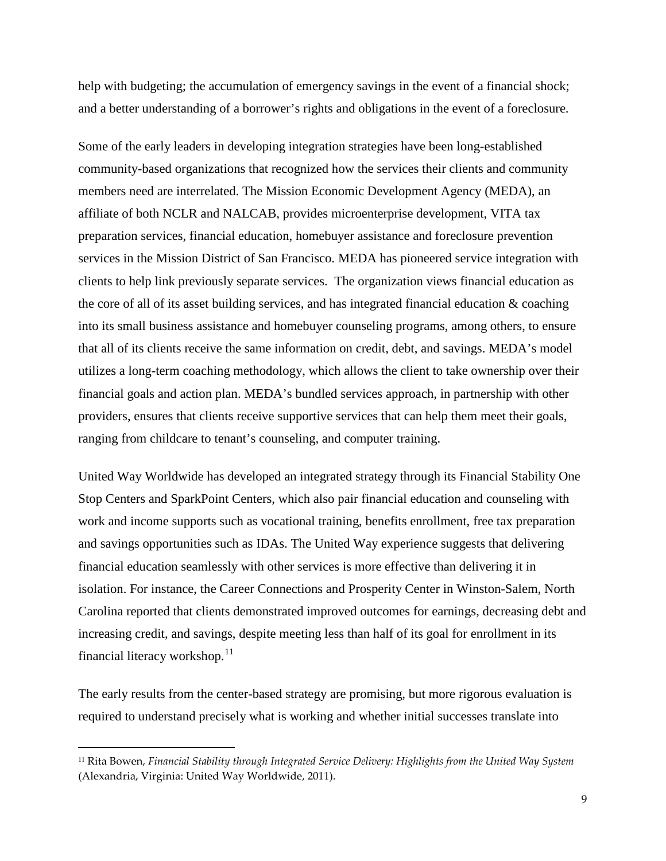help with budgeting; the accumulation of emergency savings in the event of a financial shock; and a better understanding of a borrower's rights and obligations in the event of a foreclosure.

Some of the early leaders in developing integration strategies have been long-established community-based organizations that recognized how the services their clients and community members need are interrelated. The Mission Economic Development Agency (MEDA), an affiliate of both NCLR and NALCAB, provides microenterprise development, VITA tax preparation services, financial education, homebuyer assistance and foreclosure prevention services in the Mission District of San Francisco. MEDA has pioneered service integration with clients to help link previously separate services. The organization views financial education as the core of all of its asset building services, and has integrated financial education  $\&$  coaching into its small business assistance and homebuyer counseling programs, among others, to ensure that all of its clients receive the same information on credit, debt, and savings. MEDA's model utilizes a long-term coaching methodology, which allows the client to take ownership over their financial goals and action plan. MEDA's bundled services approach, in partnership with other providers, ensures that clients receive supportive services that can help them meet their goals, ranging from childcare to tenant's counseling, and computer training.

United Way Worldwide has developed an integrated strategy through its Financial Stability One Stop Centers and SparkPoint Centers, which also pair financial education and counseling with work and income supports such as vocational training, benefits enrollment, free tax preparation and savings opportunities such as IDAs. The United Way experience suggests that delivering financial education seamlessly with other services is more effective than delivering it in isolation. For instance, the Career Connections and Prosperity Center in Winston-Salem, North Carolina reported that clients demonstrated improved outcomes for earnings, decreasing debt and increasing credit, and savings, despite meeting less than half of its goal for enrollment in its financial literacy workshop.<sup>[11](#page-7-0)</sup>

The early results from the center-based strategy are promising, but more rigorous evaluation is required to understand precisely what is working and whether initial successes translate into

<span id="page-8-0"></span><sup>11</sup> Rita Bowen, *Financial Stability through Integrated Service Delivery: Highlights from the United Way System*  (Alexandria, Virginia: United Way Worldwide, 2011).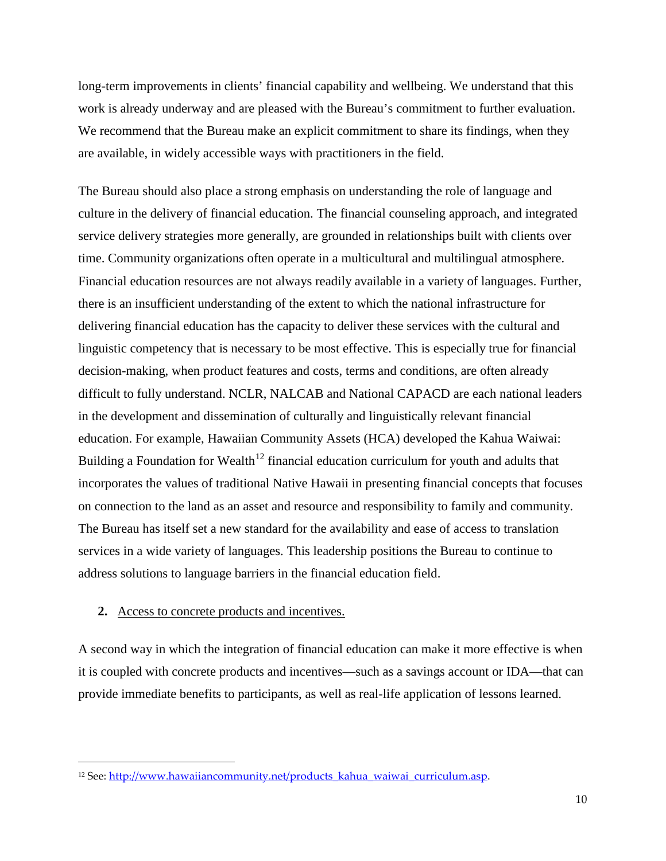long-term improvements in clients' financial capability and wellbeing. We understand that this work is already underway and are pleased with the Bureau's commitment to further evaluation. We recommend that the Bureau make an explicit commitment to share its findings, when they are available, in widely accessible ways with practitioners in the field.

The Bureau should also place a strong emphasis on understanding the role of language and culture in the delivery of financial education. The financial counseling approach, and integrated service delivery strategies more generally, are grounded in relationships built with clients over time. Community organizations often operate in a multicultural and multilingual atmosphere. Financial education resources are not always readily available in a variety of languages. Further, there is an insufficient understanding of the extent to which the national infrastructure for delivering financial education has the capacity to deliver these services with the cultural and linguistic competency that is necessary to be most effective. This is especially true for financial decision-making, when product features and costs, terms and conditions, are often already difficult to fully understand. NCLR, NALCAB and National CAPACD are each national leaders in the development and dissemination of culturally and linguistically relevant financial education. For example, Hawaiian Community Assets (HCA) developed the Kahua Waiwai: Building a Foundation for Wealth<sup>[12](#page-8-0)</sup> financial education curriculum for youth and adults that incorporates the values of traditional Native Hawaii in presenting financial concepts that focuses on connection to the land as an asset and resource and responsibility to family and community. The Bureau has itself set a new standard for the availability and ease of access to translation services in a wide variety of languages. This leadership positions the Bureau to continue to address solutions to language barriers in the financial education field.

### **2.** Access to concrete products and incentives.

 $\overline{a}$ 

<span id="page-9-0"></span>A second way in which the integration of financial education can make it more effective is when it is coupled with concrete products and incentives—such as a savings account or IDA—that can provide immediate benefits to participants, as well as real-life application of lessons learned.

<sup>&</sup>lt;sup>12</sup> See: http://www.hawaiiancommunity.net/products\_kahua\_waiwai\_curriculum.asp.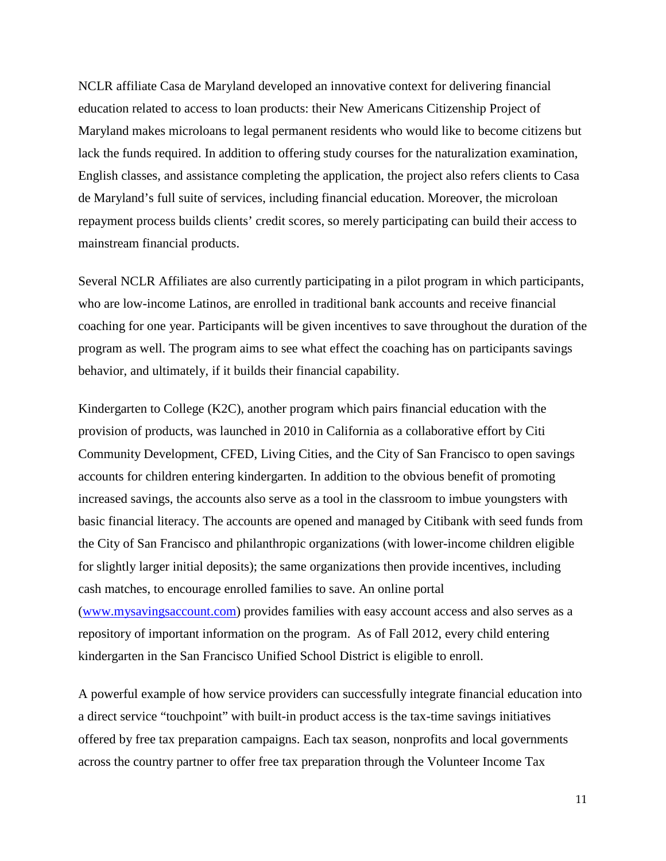NCLR affiliate Casa de Maryland developed an innovative context for delivering financial education related to access to loan products: their New Americans Citizenship Project of Maryland makes microloans to legal permanent residents who would like to become citizens but lack the funds required. In addition to offering study courses for the naturalization examination, English classes, and assistance completing the application, the project also refers clients to Casa de Maryland's full suite of services, including financial education. Moreover, the microloan repayment process builds clients' credit scores, so merely participating can build their access to mainstream financial products.

Several NCLR Affiliates are also currently participating in a pilot program in which participants, who are low-income Latinos, are enrolled in traditional bank accounts and receive financial coaching for one year. Participants will be given incentives to save throughout the duration of the program as well. The program aims to see what effect the coaching has on participants savings behavior, and ultimately, if it builds their financial capability.

Kindergarten to College (K2C), another program which pairs financial education with the provision of products, was launched in 2010 in California as a collaborative effort by Citi Community Development, CFED, Living Cities, and the City of San Francisco to open savings accounts for children entering kindergarten. In addition to the obvious benefit of promoting increased savings, the accounts also serve as a tool in the classroom to imbue youngsters with basic financial literacy. The accounts are opened and managed by Citibank with seed funds from the City of San Francisco and philanthropic organizations (with lower-income children eligible for slightly larger initial deposits); the same organizations then provide incentives, including cash matches, to encourage enrolled families to save. An online portal [\(www.mysavingsaccount.com\)](http://www.mysavingsaccount.com/) provides families with easy account access and also serves as a repository of important information on the program. As of Fall 2012, every child entering kindergarten in the San Francisco Unified School District is eligible to enroll.

A powerful example of how service providers can successfully integrate financial education into a direct service "touchpoint" with built-in product access is the tax-time savings initiatives offered by free tax preparation campaigns. Each tax season, nonprofits and local governments across the country partner to offer free tax preparation through the Volunteer Income Tax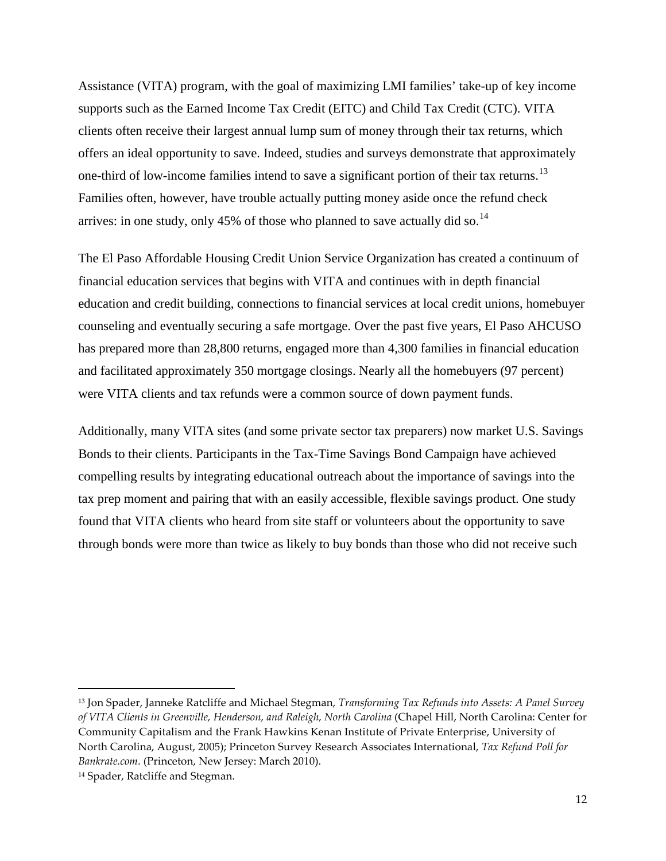Assistance (VITA) program, with the goal of maximizing LMI families' take-up of key income supports such as the Earned Income Tax Credit (EITC) and Child Tax Credit (CTC). VITA clients often receive their largest annual lump sum of money through their tax returns, which offers an ideal opportunity to save. Indeed, studies and surveys demonstrate that approximately one-third of low-income families intend to save a significant portion of their tax returns.<sup>[13](#page-9-0)</sup> Families often, however, have trouble actually putting money aside once the refund check arrives: in one study, only 45% of those who planned to save actually did so.<sup>[14](#page-11-0)</sup>

The El Paso Affordable Housing Credit Union Service Organization has created a continuum of financial education services that begins with VITA and continues with in depth financial education and credit building, connections to financial services at local credit unions, homebuyer counseling and eventually securing a safe mortgage. Over the past five years, El Paso AHCUSO has prepared more than 28,800 returns, engaged more than 4,300 families in financial education and facilitated approximately 350 mortgage closings. Nearly all the homebuyers (97 percent) were VITA clients and tax refunds were a common source of down payment funds.

Additionally, many VITA sites (and some private sector tax preparers) now market U.S. Savings Bonds to their clients. Participants in the Tax-Time Savings Bond Campaign have achieved compelling results by integrating educational outreach about the importance of savings into the tax prep moment and pairing that with an easily accessible, flexible savings product. One study found that VITA clients who heard from site staff or volunteers about the opportunity to save through bonds were more than twice as likely to buy bonds than those who did not receive such

<span id="page-11-1"></span><sup>13</sup> Jon Spader, Janneke Ratcliffe and Michael Stegman, *Transforming Tax Refunds into Assets: A Panel Survey of VITA Clients in Greenville, Henderson, and Raleigh, North Carolina* (Chapel Hill, North Carolina: Center for Community Capitalism and the Frank Hawkins Kenan Institute of Private Enterprise, University of North Carolina, August, 2005); Princeton Survey Research Associates International, *Tax Refund Poll for Bankrate.com*. (Princeton, New Jersey: March 2010).

<span id="page-11-0"></span><sup>14</sup> Spader, Ratcliffe and Stegman.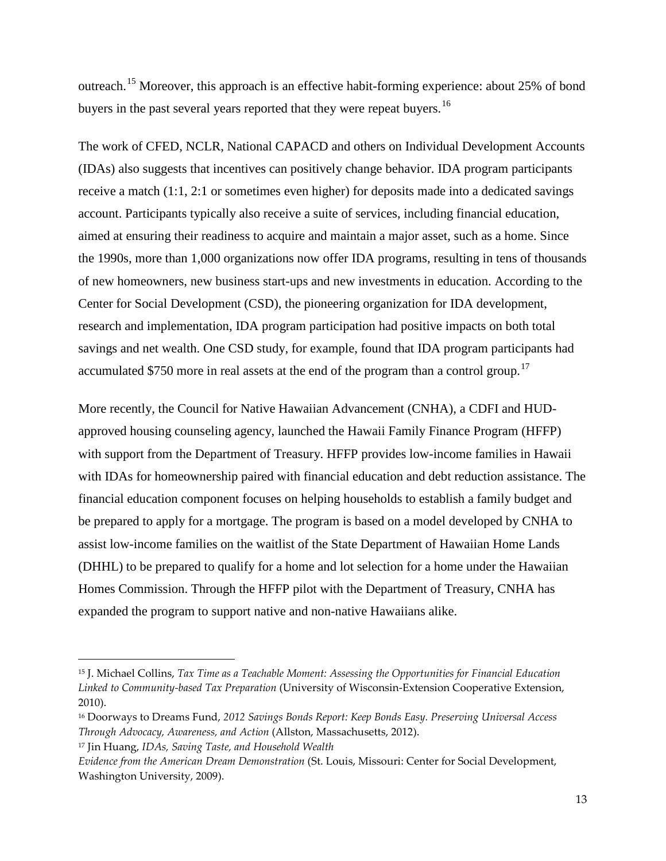outreach.<sup>[15](#page-11-1)</sup> Moreover, this approach is an effective habit-forming experience: about 25% of bond buyers in the past several years reported that they were repeat buyers.<sup>[16](#page-12-0)</sup>

The work of CFED, NCLR, National CAPACD and others on Individual Development Accounts (IDAs) also suggests that incentives can positively change behavior. IDA program participants receive a match (1:1, 2:1 or sometimes even higher) for deposits made into a dedicated savings account. Participants typically also receive a suite of services, including financial education, aimed at ensuring their readiness to acquire and maintain a major asset, such as a home. Since the 1990s, more than 1,000 organizations now offer IDA programs, resulting in tens of thousands of new homeowners, new business start-ups and new investments in education. According to the Center for Social Development (CSD), the pioneering organization for IDA development, research and implementation, IDA program participation had positive impacts on both total savings and net wealth. One CSD study, for example, found that IDA program participants had accumulated \$750 more in real assets at the end of the program than a control group.<sup>[17](#page-12-1)</sup>

More recently, the Council for Native Hawaiian Advancement (CNHA), a CDFI and HUDapproved housing counseling agency, launched the Hawaii Family Finance Program (HFFP) with support from the Department of Treasury. HFFP provides low-income families in Hawaii with IDAs for homeownership paired with financial education and debt reduction assistance. The financial education component focuses on helping households to establish a family budget and be prepared to apply for a mortgage. The program is based on a model developed by CNHA to assist low-income families on the waitlist of the State Department of Hawaiian Home Lands (DHHL) to be prepared to qualify for a home and lot selection for a home under the Hawaiian Homes Commission. Through the HFFP pilot with the Department of Treasury, CNHA has expanded the program to support native and non-native Hawaiians alike.

<sup>15</sup> J. Michael Collins, *Tax Time as a Teachable Moment: Assessing the Opportunities for Financial Education Linked to Community-based Tax Preparation* (University of Wisconsin-Extension Cooperative Extension, 2010).

<span id="page-12-0"></span><sup>16</sup> Doorways to Dreams Fund, *2012 Savings Bonds Report: Keep Bonds Easy. Preserving Universal Access Through Advocacy, Awareness, and Action* (Allston, Massachusetts, 2012).

<span id="page-12-1"></span><sup>17</sup> Jin Huang, *IDAs, Saving Taste, and Household Wealth*

<span id="page-12-2"></span>*Evidence from the American Dream Demonstration* (St. Louis, Missouri: Center for Social Development, Washington University, 2009).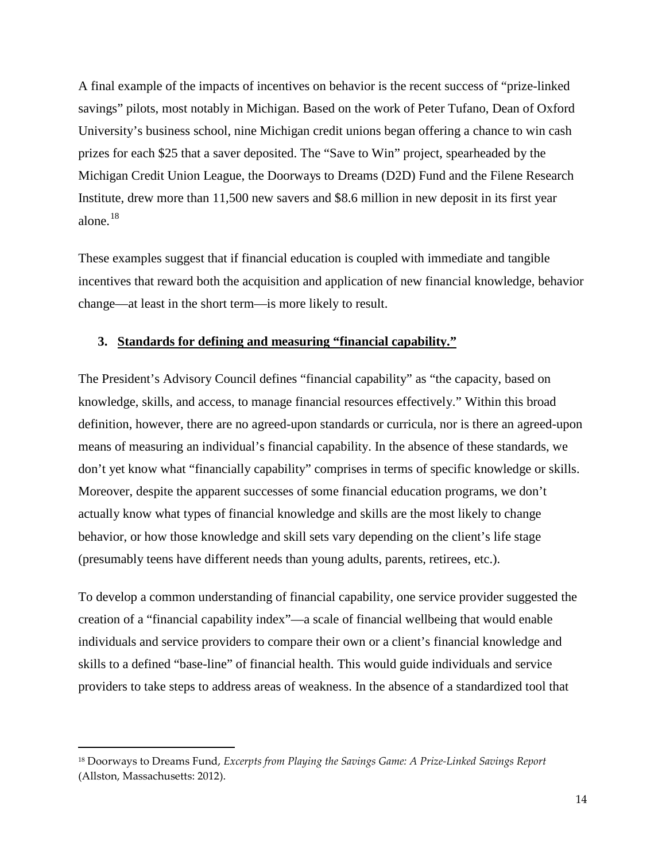A final example of the impacts of incentives on behavior is the recent success of "prize-linked savings" pilots, most notably in Michigan. Based on the work of Peter Tufano, Dean of Oxford University's business school, nine Michigan credit unions began offering a chance to win cash prizes for each \$25 that a saver deposited. The "Save to Win" project, spearheaded by the Michigan Credit Union League, the Doorways to Dreams (D2D) Fund and the Filene Research Institute, drew more than 11,500 new savers and \$8.6 million in new deposit in its first year alone.[18](#page-12-2)

These examples suggest that if financial education is coupled with immediate and tangible incentives that reward both the acquisition and application of new financial knowledge, behavior change—at least in the short term—is more likely to result.

### **3. Standards for defining and measuring "financial capability."**

The President's Advisory Council defines "financial capability" as "the capacity, based on knowledge, skills, and access, to manage financial resources effectively." Within this broad definition, however, there are no agreed-upon standards or curricula, nor is there an agreed-upon means of measuring an individual's financial capability. In the absence of these standards, we don't yet know what "financially capability" comprises in terms of specific knowledge or skills. Moreover, despite the apparent successes of some financial education programs, we don't actually know what types of financial knowledge and skills are the most likely to change behavior, or how those knowledge and skill sets vary depending on the client's life stage (presumably teens have different needs than young adults, parents, retirees, etc.).

To develop a common understanding of financial capability, one service provider suggested the creation of a "financial capability index"—a scale of financial wellbeing that would enable individuals and service providers to compare their own or a client's financial knowledge and skills to a defined "base-line" of financial health. This would guide individuals and service providers to take steps to address areas of weakness. In the absence of a standardized tool that

<span id="page-13-0"></span><sup>18</sup> Doorways to Dreams Fund, *Excerpts from Playing the Savings Game: A Prize-Linked Savings Report*  (Allston, Massachusetts: 2012).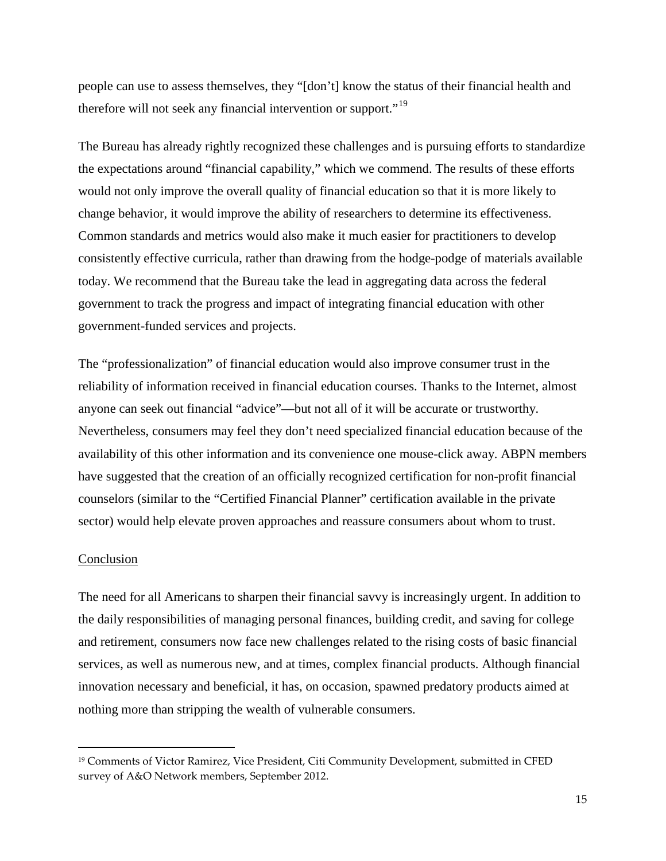people can use to assess themselves, they "[don't] know the status of their financial health and therefore will not seek any financial intervention or support."<sup>[19](#page-13-0)</sup>

The Bureau has already rightly recognized these challenges and is pursuing efforts to standardize the expectations around "financial capability," which we commend. The results of these efforts would not only improve the overall quality of financial education so that it is more likely to change behavior, it would improve the ability of researchers to determine its effectiveness. Common standards and metrics would also make it much easier for practitioners to develop consistently effective curricula, rather than drawing from the hodge-podge of materials available today. We recommend that the Bureau take the lead in aggregating data across the federal government to track the progress and impact of integrating financial education with other government-funded services and projects.

The "professionalization" of financial education would also improve consumer trust in the reliability of information received in financial education courses. Thanks to the Internet, almost anyone can seek out financial "advice"—but not all of it will be accurate or trustworthy. Nevertheless, consumers may feel they don't need specialized financial education because of the availability of this other information and its convenience one mouse-click away. ABPN members have suggested that the creation of an officially recognized certification for non-profit financial counselors (similar to the "Certified Financial Planner" certification available in the private sector) would help elevate proven approaches and reassure consumers about whom to trust.

### Conclusion

<span id="page-14-0"></span> $\overline{a}$ 

The need for all Americans to sharpen their financial savvy is increasingly urgent. In addition to the daily responsibilities of managing personal finances, building credit, and saving for college and retirement, consumers now face new challenges related to the rising costs of basic financial services, as well as numerous new, and at times, complex financial products. Although financial innovation necessary and beneficial, it has, on occasion, spawned predatory products aimed at nothing more than stripping the wealth of vulnerable consumers.

<sup>19</sup> Comments of Victor Ramirez, Vice President, Citi Community Development, submitted in CFED survey of A&O Network members, September 2012.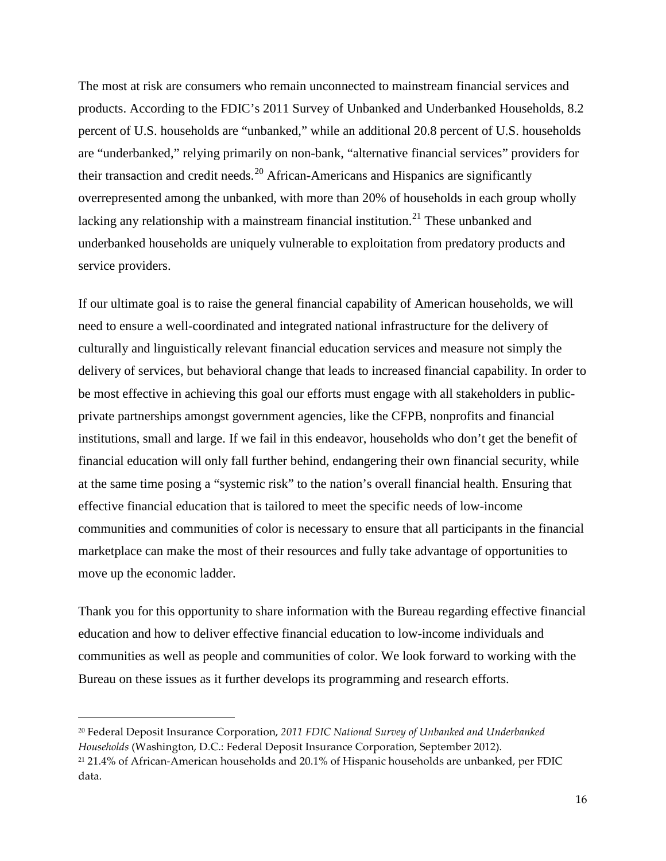The most at risk are consumers who remain unconnected to mainstream financial services and products. According to the FDIC's 2011 Survey of Unbanked and Underbanked Households, 8.2 percent of U.S. households are "unbanked," while an additional 20.8 percent of U.S. households are "underbanked," relying primarily on non-bank, "alternative financial services" providers for their transaction and credit needs.<sup>[20](#page-14-0)</sup> African-Americans and Hispanics are significantly overrepresented among the unbanked, with more than 20% of households in each group wholly lacking any relationship with a mainstream financial institution.<sup>[21](#page-15-0)</sup> These unbanked and underbanked households are uniquely vulnerable to exploitation from predatory products and service providers.

If our ultimate goal is to raise the general financial capability of American households, we will need to ensure a well-coordinated and integrated national infrastructure for the delivery of culturally and linguistically relevant financial education services and measure not simply the delivery of services, but behavioral change that leads to increased financial capability. In order to be most effective in achieving this goal our efforts must engage with all stakeholders in publicprivate partnerships amongst government agencies, like the CFPB, nonprofits and financial institutions, small and large. If we fail in this endeavor, households who don't get the benefit of financial education will only fall further behind, endangering their own financial security, while at the same time posing a "systemic risk" to the nation's overall financial health. Ensuring that effective financial education that is tailored to meet the specific needs of low-income communities and communities of color is necessary to ensure that all participants in the financial marketplace can make the most of their resources and fully take advantage of opportunities to move up the economic ladder.

Thank you for this opportunity to share information with the Bureau regarding effective financial education and how to deliver effective financial education to low-income individuals and communities as well as people and communities of color. We look forward to working with the Bureau on these issues as it further develops its programming and research efforts.

<sup>20</sup> Federal Deposit Insurance Corporation, *2011 FDIC National Survey of Unbanked and Underbanked Households* (Washington, D.C.: Federal Deposit Insurance Corporation, September 2012).

<span id="page-15-0"></span><sup>21</sup> 21.4% of African-American households and 20.1% of Hispanic households are unbanked, per FDIC data.